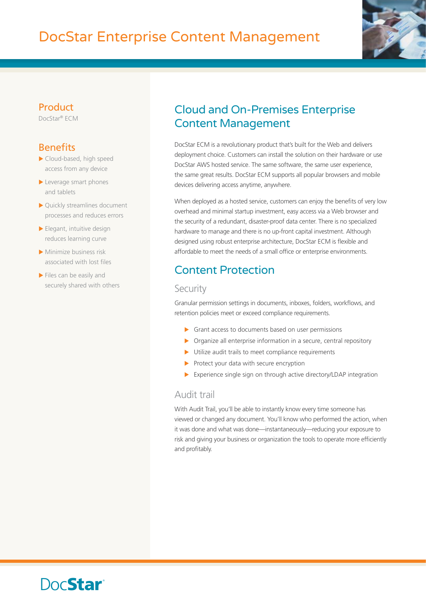# DocStar Enterprise Content Management



#### **Product**

DocStar® ECM

### **Benefits**

- $\blacktriangleright$  Cloud-based, high speed access from any device
- $\blacktriangleright$  Leverage smart phones and tablets
- $\blacktriangleright$  Quickly streamlines document processes and reduces errors
- $\blacktriangleright$  Elegant, intuitive design reduces learning curve
- $\blacktriangleright$  Minimize business risk associated with lost files
- $\blacktriangleright$  Files can be easily and securely shared with others

# Cloud and On-Premises Enterprise Content Management

DocStar ECM is a revolutionary product that's built for the Web and delivers deployment choice. Customers can install the solution on their hardware or use DocStar AWS hosted service. The same software, the same user experience, the same great results. DocStar ECM supports all popular browsers and mobile devices delivering access anytime, anywhere.

When deployed as a hosted service, customers can enjoy the benefits of very low overhead and minimal startup investment, easy access via a Web browser and the security of a redundant, disaster-proof data center. There is no specialized hardware to manage and there is no up-front capital investment. Although designed using robust enterprise architecture, DocStar ECM is flexible and affordable to meet the needs of a small office or enterprise environments.

# Content Protection

#### **Security**

Granular permission settings in documents, inboxes, folders, workflows, and retention policies meet or exceed compliance requirements.

- $\triangleright$  Grant access to documents based on user permissions
- $\triangleright$  Organize all enterprise information in a secure, central repository
- $\blacktriangleright$  Utilize audit trails to meet compliance requirements
- $\blacktriangleright$  Protect your data with secure encryption
- $\blacktriangleright$  Experience single sign on through active directory/LDAP integration

#### Audit trail

With Audit Trail, you'll be able to instantly know every time someone has viewed or changed any document. You'll know who performed the action, when it was done and what was done—instantaneously—reducing your exposure to risk and giving your business or organization the tools to operate more efficiently and profitably.

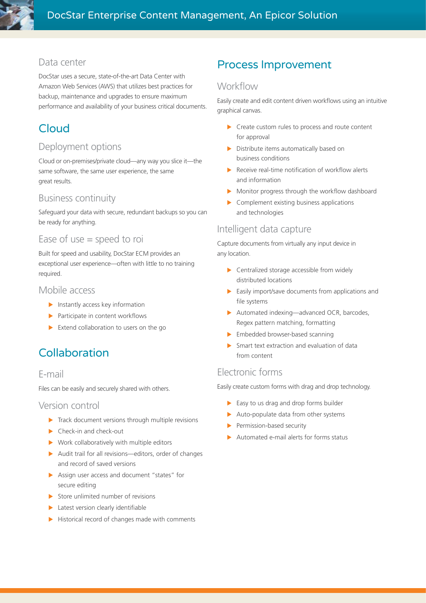#### Data center

DocStar uses a secure, state-of-the-art Data Center with Amazon Web Services (AWS) that utilizes best practices for backup, maintenance and upgrades to ensure maximum performance and availability of your business critical documents.

# Cloud

#### Deployment options

Cloud or on-premises/private cloud—any way you slice it—the same software, the same user experience, the same great results.

#### Business continuity

Safeguard your data with secure, redundant backups so you can be ready for anything.

#### Ease of use  $=$  speed to roi

Built for speed and usability, DocStar ECM provides an exceptional user experience—often with little to no training required.

#### Mobile access

- $\blacktriangleright$  Instantly access key information
- $\blacktriangleright$  Participate in content workflows
- $\blacktriangleright$  Extend collaboration to users on the go

# Collaboration

#### E-mail

Files can be easily and securely shared with others.

#### Version control

- $\blacktriangleright$  Track document versions through multiple revisions
- $\blacktriangleright$  Check-in and check-out
- $\triangleright$  Work collaboratively with multiple editors
- $\blacktriangleright$  Audit trail for all revisions—editors, order of changes and record of saved versions
- $\blacktriangleright$  Assign user access and document "states" for secure editing
- $\triangleright$  Store unlimited number of revisions
- $\blacktriangleright$  Latest version clearly identifiable
- $\blacktriangleright$  Historical record of changes made with comments

### Process Improvement

#### **Workflow**

Easily create and edit content driven workflows using an intuitive graphical canvas.

- $\triangleright$  Create custom rules to process and route content for approval
- $\triangleright$  Distribute items automatically based on business conditions
- $\blacktriangleright$  Receive real-time notification of workflow alerts and information
- $\blacktriangleright$  Monitor progress through the workflow dashboard
- $\triangleright$  Complement existing business applications and technologies

#### Intelligent data capture

Capture documents from virtually any input device in any location.

- $\triangleright$  Centralized storage accessible from widely distributed locations
- $\blacktriangleright$  Easily import/save documents from applications and file systems
- $\blacktriangleright$  Automated indexing—advanced OCR, barcodes, Regex pattern matching, formatting
- $\blacktriangleright$  Embedded browser-based scanning
- $\triangleright$  Smart text extraction and evaluation of data from content

#### Electronic forms

Easily create custom forms with drag and drop technology.

- $\blacktriangleright$  Easy to us drag and drop forms builder
- $\blacktriangleright$  Auto-populate data from other systems
- $\blacktriangleright$  Permission-based security
- $\blacktriangleright$  Automated e-mail alerts for forms status